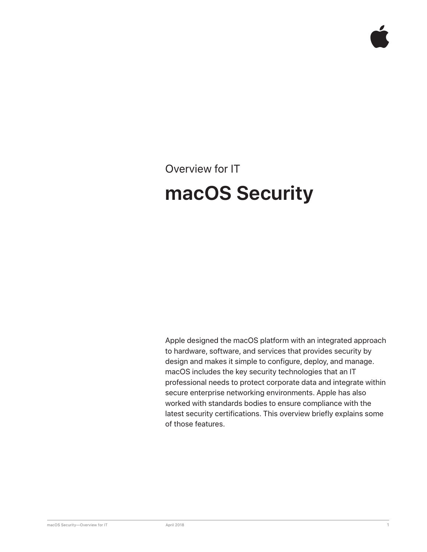# Overview for IT **macOS Security**

Apple designed the macOS platform with an integrated approach to hardware, software, and services that provides security by design and makes it simple to configure, deploy, and manage. macOS includes the key security technologies that an IT professional needs to protect corporate data and integrate within secure enterprise networking environments. Apple has also worked with standards bodies to ensure compliance with the latest security certifications. This overview briefly explains some of those features.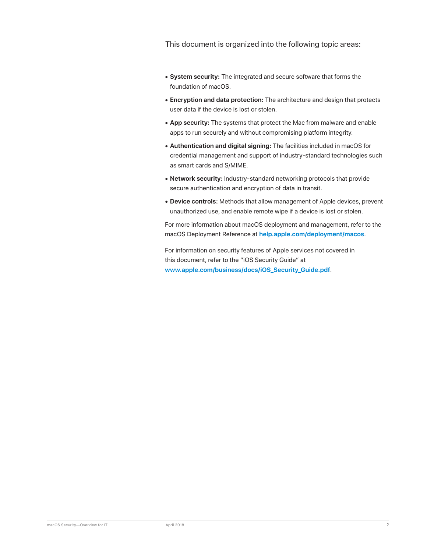This document is organized into the following topic areas:

- **• System security:** The integrated and secure software that forms the foundation of macOS.
- **• Encryption and data protection:** The architecture and design that protects user data if the device is lost or stolen.
- **• App security:** The systems that protect the Mac from malware and enable apps to run securely and without compromising platform integrity.
- **• Authentication and digital signing:** The facilities included in macOS for credential management and support of industry-standard technologies such as smart cards and S/MIME.
- **• Network security:** Industry-standard networking protocols that provide secure authentication and encryption of data in transit.
- **• Device controls:** Methods that allow management of Apple devices, prevent unauthorized use, and enable remote wipe if a device is lost or stolen.

For more information about macOS deployment and management, refer to the macOS Deployment Reference at **help.apple.com/deployment/macos**.

For information on security features of Apple services not covered in this document, refer to the "iOS Security Guide" at **www.apple.com/business/docs/iOS\_Security\_Guide.pdf**.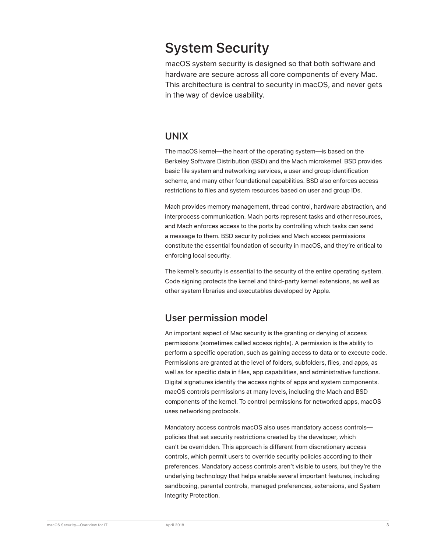# System Security

macOS system security is designed so that both software and hardware are secure across all core components of every Mac. This architecture is central to security in macOS, and never gets in the way of device usability.

#### UNIX

The macOS kernel—the heart of the operating system—is based on the Berkeley Software Distribution (BSD) and the Mach microkernel. BSD provides basic file system and networking services, a user and group identification scheme, and many other foundational capabilities. BSD also enforces access restrictions to files and system resources based on user and group IDs.

Mach provides memory management, thread control, hardware abstraction, and interprocess communication. Mach ports represent tasks and other resources, and Mach enforces access to the ports by controlling which tasks can send a message to them. BSD security policies and Mach access permissions constitute the essential foundation of security in macOS, and they're critical to enforcing local security.

The kernel's security is essential to the security of the entire operating system. Code signing protects the kernel and third-party kernel extensions, as well as other system libraries and executables developed by Apple.

#### User permission model

An important aspect of Mac security is the granting or denying of access permissions (sometimes called access rights). A permission is the ability to perform a specific operation, such as gaining access to data or to execute code. Permissions are granted at the level of folders, subfolders, files, and apps, as well as for specific data in files, app capabilities, and administrative functions. Digital signatures identify the access rights of apps and system components. macOS controls permissions at many levels, including the Mach and BSD components of the kernel. To control permissions for networked apps, macOS uses networking protocols.

Mandatory access controls macOS also uses mandatory access controls policies that set security restrictions created by the developer, which can't be overridden. This approach is different from discretionary access controls, which permit users to override security policies according to their preferences. Mandatory access controls aren't visible to users, but they're the underlying technology that helps enable several important features, including sandboxing, parental controls, managed preferences, extensions, and System Integrity Protection.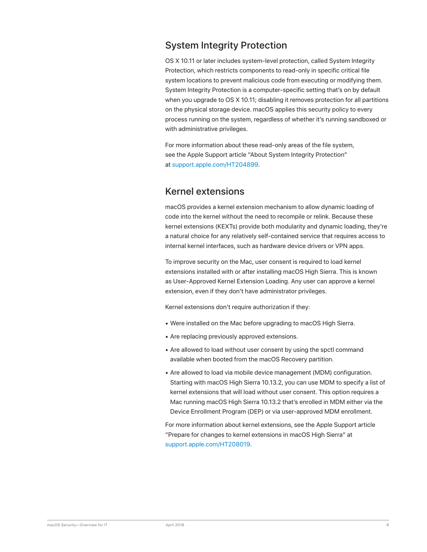# System Integrity Protection

OS X 10.11 or later includes system-level protection, called System Integrity Protection, which restricts components to read-only in specific critical file system locations to prevent malicious code from executing or modifying them. System Integrity Protection is a computer-specific setting that's on by default when you upgrade to OS X 10.11; disabling it removes protection for all partitions on the physical storage device. macOS applies this security policy to every process running on the system, regardless of whether it's running sandboxed or with administrative privileges.

For more information about these read-only areas of the file system, see the Apple Support article "About System Integrity Protection" at support.apple.com/HT204899.

#### Kernel extensions

macOS provides a kernel extension mechanism to allow dynamic loading of code into the kernel without the need to recompile or relink. Because these kernel extensions (KEXTs) provide both modularity and dynamic loading, they're a natural choice for any relatively self-contained service that requires access to internal kernel interfaces, such as hardware device drivers or VPN apps.

To improve security on the Mac, user consent is required to load kernel extensions installed with or after installing macOS High Sierra. This is known as User-Approved Kernel Extension Loading. Any user can approve a kernel extension, even if they don't have administrator privileges.

Kernel extensions don't require authorization if they:

- Were installed on the Mac before upgrading to macOS High Sierra.
- Are replacing previously approved extensions.
- Are allowed to load without user consent by using the spctl command available when booted from the macOS Recovery partition.
- Are allowed to load via mobile device management (MDM) configuration. Starting with macOS High Sierra 10.13.2, you can use MDM to specify a list of kernel extensions that will load without user consent. This option requires a Mac running macOS High Sierra 10.13.2 that's enrolled in MDM either via the Device Enrollment Program (DEP) or via user-approved MDM enrollment.

For more information about kernel extensions, see the Apple Support article "Prepare for changes to kernel extensions in macOS High Sierra" at support.apple.com/HT208019.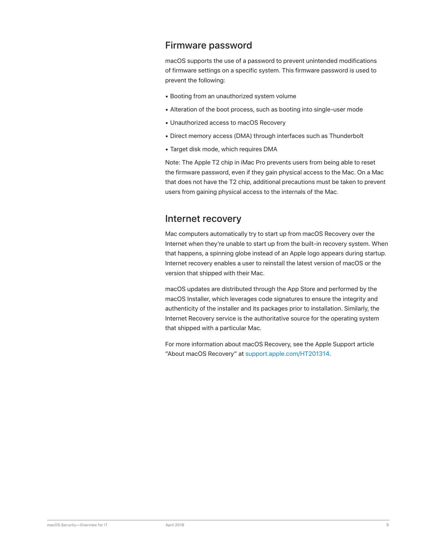### Firmware password

macOS supports the use of a password to prevent unintended modifications of firmware settings on a specific system. This firmware password is used to prevent the following:

- Booting from an unauthorized system volume
- Alteration of the boot process, such as booting into single-user mode
- Unauthorized access to macOS Recovery
- Direct memory access (DMA) through interfaces such as Thunderbolt
- Target disk mode, which requires DMA

Note: The Apple T2 chip in iMac Pro prevents users from being able to reset the firmware password, even if they gain physical access to the Mac. On a Mac that does not have the T2 chip, additional precautions must be taken to prevent users from gaining physical access to the internals of the Mac.

#### Internet recovery

Mac computers automatically try to start up from macOS Recovery over the Internet when they're unable to start up from the built-in recovery system. When that happens, a spinning globe instead of an Apple logo appears during startup. Internet recovery enables a user to reinstall the latest version of macOS or the version that shipped with their Mac.

macOS updates are distributed through the App Store and performed by the macOS Installer, which leverages code signatures to ensure the integrity and authenticity of the installer and its packages prior to installation. Similarly, the Internet Recovery service is the authoritative source for the operating system that shipped with a particular Mac.

For more information about macOS Recovery, see the Apple Support article "About macOS Recovery" at support.apple.com/HT201314.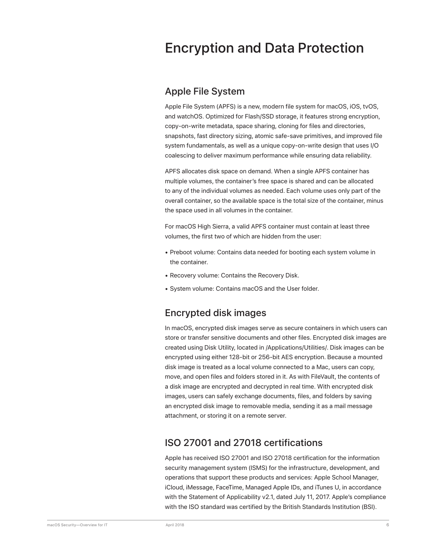# Encryption and Data Protection

#### Apple File System

Apple File System (APFS) is a new, modern file system for macOS, iOS, tvOS, and watchOS. Optimized for Flash/SSD storage, it features strong encryption, copy-on-write metadata, space sharing, cloning for files and directories, snapshots, fast directory sizing, atomic safe-save primitives, and improved file system fundamentals, as well as a unique copy-on-write design that uses I/O coalescing to deliver maximum performance while ensuring data reliability.

APFS allocates disk space on demand. When a single APFS container has multiple volumes, the container's free space is shared and can be allocated to any of the individual volumes as needed. Each volume uses only part of the overall container, so the available space is the total size of the container, minus the space used in all volumes in the container.

For macOS High Sierra, a valid APFS container must contain at least three volumes, the first two of which are hidden from the user:

- Preboot volume: Contains data needed for booting each system volume in the container.
- Recovery volume: Contains the Recovery Disk.
- System volume: Contains macOS and the User folder.

# Encrypted disk images

In macOS, encrypted disk images serve as secure containers in which users can store or transfer sensitive documents and other files. Encrypted disk images are created using Disk Utility, located in /Applications/Utilities/. Disk images can be encrypted using either 128-bit or 256-bit AES encryption. Because a mounted disk image is treated as a local volume connected to a Mac, users can copy, move, and open files and folders stored in it. As with FileVault, the contents of a disk image are encrypted and decrypted in real time. With encrypted disk images, users can safely exchange documents, files, and folders by saving an encrypted disk image to removable media, sending it as a mail message attachment, or storing it on a remote server.

#### ISO 27001 and 27018 certifications

Apple has received ISO 27001 and ISO 27018 certification for the information security management system (ISMS) for the infrastructure, development, and operations that support these products and services: Apple School Manager, iCloud, iMessage, FaceTime, Managed Apple IDs, and iTunes U, in accordance with the Statement of Applicability v2.1, dated July 11, 2017. Apple's compliance with the ISO standard was certified by the British Standards Institution (BSI).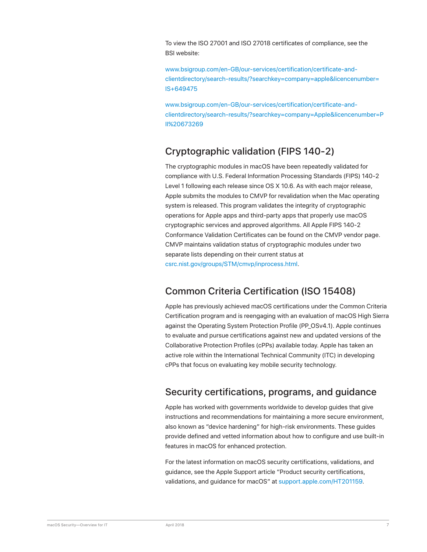To view the ISO 27001 and ISO 27018 certificates of compliance, see the BSI website:

www.bsigroup.com/en-GB/our-services/certification/certificate-andclientdirectory/search-results/?searchkey=company=apple&licencenumber= IS+649475

www.bsigroup.com/en-GB/our-services/certification/certificate-andclientdirectory/search-results/?searchkey=company=Apple&licencenumber=P II%20673269

# Cryptographic validation (FIPS 140-2)

The cryptographic modules in macOS have been repeatedly validated for compliance with U.S. Federal Information Processing Standards (FIPS) 140-2 Level 1 following each release since OS X 10.6. As with each major release, Apple submits the modules to CMVP for revalidation when the Mac operating system is released. This program validates the integrity of cryptographic operations for Apple apps and third-party apps that properly use macOS cryptographic services and approved algorithms. All Apple FIPS 140-2 Conformance Validation Certificates can be found on the CMVP vendor page. CMVP maintains validation status of cryptographic modules under two separate lists depending on their current status at csrc.nist.gov/groups/STM/cmvp/inprocess.html.

# Common Criteria Certification (ISO 15408)

Apple has previously achieved macOS certifications under the Common Criteria Certification program and is reengaging with an evaluation of macOS High Sierra against the Operating System Protection Profile (PP\_OSv4.1). Apple continues to evaluate and pursue certifications against new and updated versions of the Collaborative Protection Profiles (cPPs) available today. Apple has taken an active role within the International Technical Community (ITC) in developing cPPs that focus on evaluating key mobile security technology.

# Security certifications, programs, and guidance

Apple has worked with governments worldwide to develop guides that give instructions and recommendations for maintaining a more secure environment, also known as "device hardening" for high-risk environments. These guides provide defined and vetted information about how to configure and use built-in features in macOS for enhanced protection.

For the latest information on macOS security certifications, validations, and guidance, see the Apple Support article "Product security certifications, validations, and guidance for macOS" at support.apple.com/HT201159.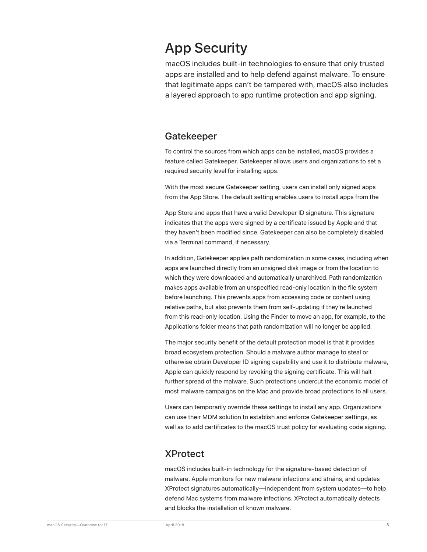# App Security

macOS includes built-in technologies to ensure that only trusted apps are installed and to help defend against malware. To ensure that legitimate apps can't be tampered with, macOS also includes a layered approach to app runtime protection and app signing.

#### Gatekeeper

To control the sources from which apps can be installed, macOS provides a feature called Gatekeeper. Gatekeeper allows users and organizations to set a required security level for installing apps.

With the most secure Gatekeeper setting, users can install only signed apps from the App Store. The default setting enables users to install apps from the

App Store and apps that have a valid Developer ID signature. This signature indicates that the apps were signed by a certificate issued by Apple and that they haven't been modified since. Gatekeeper can also be completely disabled via a Terminal command, if necessary.

In addition, Gatekeeper applies path randomization in some cases, including when apps are launched directly from an unsigned disk image or from the location to which they were downloaded and automatically unarchived. Path randomization makes apps available from an unspecified read-only location in the file system before launching. This prevents apps from accessing code or content using relative paths, but also prevents them from self-updating if they're launched from this read-only location. Using the Finder to move an app, for example, to the Applications folder means that path randomization will no longer be applied.

The major security benefit of the default protection model is that it provides broad ecosystem protection. Should a malware author manage to steal or otherwise obtain Developer ID signing capability and use it to distribute malware, Apple can quickly respond by revoking the signing certificate. This will halt further spread of the malware. Such protections undercut the economic model of most malware campaigns on the Mac and provide broad protections to all users.

Users can temporarily override these settings to install any app. Organizations can use their MDM solution to establish and enforce Gatekeeper settings, as well as to add certificates to the macOS trust policy for evaluating code signing.

#### XProtect

macOS includes built-in technology for the signature-based detection of malware. Apple monitors for new malware infections and strains, and updates XProtect signatures automatically—independent from system updates—to help defend Mac systems from malware infections. XProtect automatically detects and blocks the installation of known malware.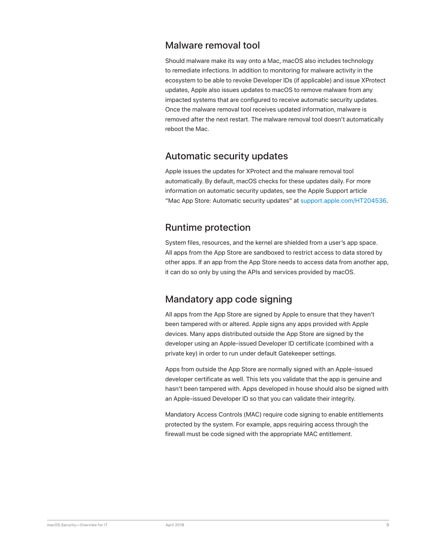### Malware removal tool

Should malware make its way onto a Mac, macOS also includes technology to remediate infections. In addition to monitoring for malware activity in the ecosystem to be able to revoke Developer IDs (if applicable) and issue XProtect updates, Apple also issues updates to macOS to remove malware from any impacted systems that are configured to receive automatic security updates. Once the malware removal tool receives updated information, malware is removed after the next restart. The malware removal tool doesn't automatically reboot the Mac.

### Automatic security updates

Apple issues the updates for XProtect and the malware removal tool automatically. By default, macOS checks for these updates daily. For more information on automatic security updates, see the Apple Support article "Mac App Store: Automatic security updates" at support.apple.com/HT204536.

### Runtime protection

System files, resources, and the kernel are shielded from a user's app space. All apps from the App Store are sandboxed to restrict access to data stored by other apps. If an app from the App Store needs to access data from another app, it can do so only by using the APIs and services provided by macOS.

# Mandatory app code signing

All apps from the App Store are signed by Apple to ensure that they haven't been tampered with or altered. Apple signs any apps provided with Apple devices. Many apps distributed outside the App Store are signed by the developer using an Apple-issued Developer ID certificate (combined with a private key) in order to run under default Gatekeeper settings.

Apps from outside the App Store are normally signed with an Apple-issued developer certificate as well. This lets you validate that the app is genuine and hasn't been tampered with. Apps developed in house should also be signed with an Apple-issued Developer ID so that you can validate their integrity.

Mandatory Access Controls (MAC) require code signing to enable entitlements protected by the system. For example, apps requiring access through the firewall must be code signed with the appropriate MAC entitlement.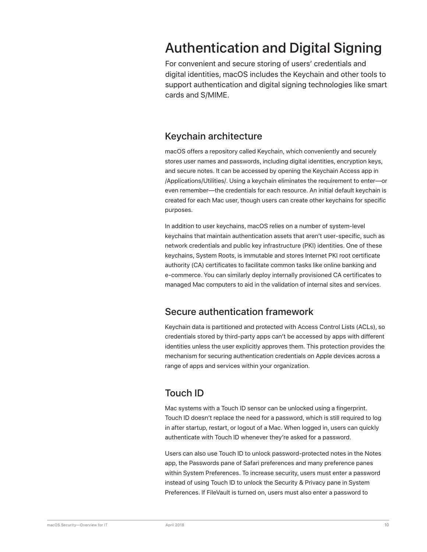# Authentication and Digital Signing

For convenient and secure storing of users' credentials and digital identities, macOS includes the Keychain and other tools to support authentication and digital signing technologies like smart cards and S/MIME.

#### Keychain architecture

macOS offers a repository called Keychain, which conveniently and securely stores user names and passwords, including digital identities, encryption keys, and secure notes. It can be accessed by opening the Keychain Access app in /Applications/Utilities/. Using a keychain eliminates the requirement to enter—or even remember—the credentials for each resource. An initial default keychain is created for each Mac user, though users can create other keychains for specific purposes.

In addition to user keychains, macOS relies on a number of system-level keychains that maintain authentication assets that aren't user-specific, such as network credentials and public key infrastructure (PKI) identities. One of these keychains, System Roots, is immutable and stores Internet PKI root certificate authority (CA) certificates to facilitate common tasks like online banking and e-commerce. You can similarly deploy internally provisioned CA certificates to managed Mac computers to aid in the validation of internal sites and services.

#### Secure authentication framework

Keychain data is partitioned and protected with Access Control Lists (ACLs), so credentials stored by third-party apps can't be accessed by apps with different identities unless the user explicitly approves them. This protection provides the mechanism for securing authentication credentials on Apple devices across a range of apps and services within your organization.

# Touch ID

Mac systems with a Touch ID sensor can be unlocked using a fingerprint. Touch ID doesn't replace the need for a password, which is still required to log in after startup, restart, or logout of a Mac. When logged in, users can quickly authenticate with Touch ID whenever they're asked for a password.

Users can also use Touch ID to unlock password-protected notes in the Notes app, the Passwords pane of Safari preferences and many preference panes within System Preferences. To increase security, users must enter a password instead of using Touch ID to unlock the Security & Privacy pane in System Preferences. If FileVault is turned on, users must also enter a password to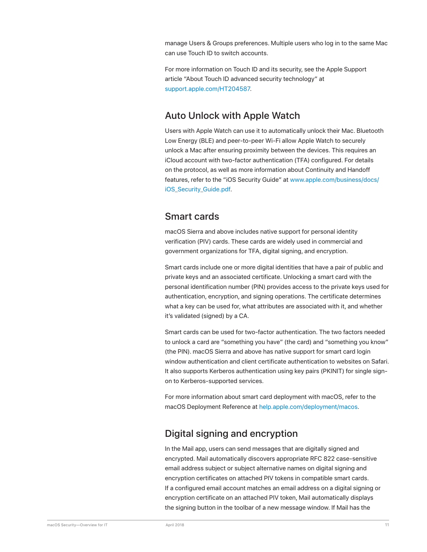manage Users & Groups preferences. Multiple users who log in to the same Mac can use Touch ID to switch accounts.

For more information on Touch ID and its security, see the Apple Support article "About Touch ID advanced security technology" at support.apple.com/HT204587.

# Auto Unlock with Apple Watch

Users with Apple Watch can use it to automatically unlock their Mac. Bluetooth Low Energy (BLE) and peer-to-peer Wi-Fi allow Apple Watch to securely unlock a Mac after ensuring proximity between the devices. This requires an iCloud account with two-factor authentication (TFA) configured. For details on the protocol, as well as more information about Continuity and Handoff features, refer to the "iOS Security Guide" at www.apple.com/business/docs/ iOS\_Security\_Guide.pdf.

#### Smart cards

macOS Sierra and above includes native support for personal identity verification (PIV) cards. These cards are widely used in commercial and government organizations for TFA, digital signing, and encryption.

Smart cards include one or more digital identities that have a pair of public and private keys and an associated certificate. Unlocking a smart card with the personal identification number (PIN) provides access to the private keys used for authentication, encryption, and signing operations. The certificate determines what a key can be used for, what attributes are associated with it, and whether it's validated (signed) by a CA.

Smart cards can be used for two-factor authentication. The two factors needed to unlock a card are "something you have" (the card) and "something you know" (the PIN). macOS Sierra and above has native support for smart card login window authentication and client certificate authentication to websites on Safari. It also supports Kerberos authentication using key pairs (PKINIT) for single signon to Kerberos-supported services.

For more information about smart card deployment with macOS, refer to the macOS Deployment Reference at help.apple.com/deployment/macos.

# Digital signing and encryption

In the Mail app, users can send messages that are digitally signed and encrypted. Mail automatically discovers appropriate RFC 822 case-sensitive email address subject or subject alternative names on digital signing and encryption certificates on attached PIV tokens in compatible smart cards. If a configured email account matches an email address on a digital signing or encryption certificate on an attached PIV token, Mail automatically displays the signing button in the toolbar of a new message window. If Mail has the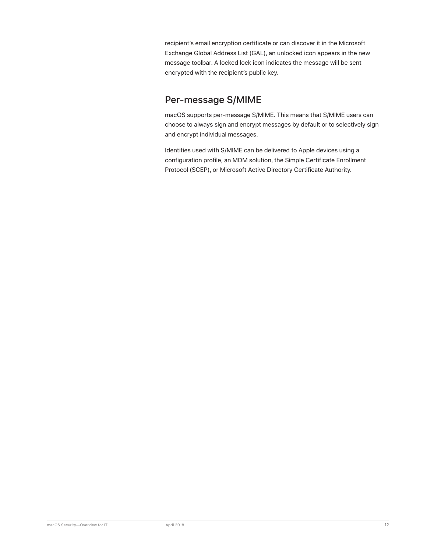recipient's email encryption certificate or can discover it in the Microsoft Exchange Global Address List (GAL), an unlocked icon appears in the new message toolbar. A locked lock icon indicates the message will be sent encrypted with the recipient's public key.

# Per-message S/MIME

macOS supports per-message S/MIME. This means that S/MIME users can choose to always sign and encrypt messages by default or to selectively sign and encrypt individual messages.

Identities used with S/MIME can be delivered to Apple devices using a configuration profile, an MDM solution, the Simple Certificate Enrollment Protocol (SCEP), or Microsoft Active Directory Certificate Authority.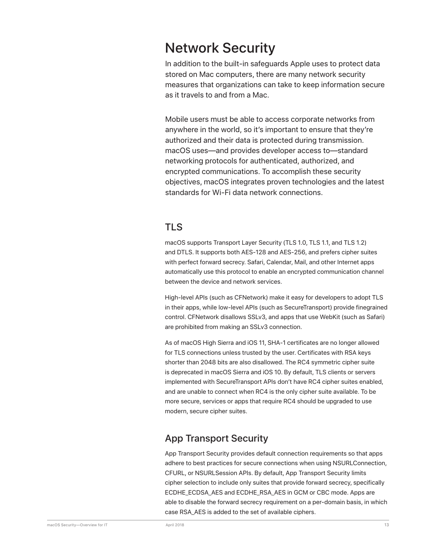# Network Security

In addition to the built-in safeguards Apple uses to protect data stored on Mac computers, there are many network security measures that organizations can take to keep information secure as it travels to and from a Mac.

Mobile users must be able to access corporate networks from anywhere in the world, so it's important to ensure that they're authorized and their data is protected during transmission. macOS uses—and provides developer access to—standard networking protocols for authenticated, authorized, and encrypted communications. To accomplish these security objectives, macOS integrates proven technologies and the latest standards for Wi-Fi data network connections.

#### TLS

macOS supports Transport Layer Security (TLS 1.0, TLS 1.1, and TLS 1.2) and DTLS. It supports both AES-128 and AES-256, and prefers cipher suites with perfect forward secrecy. Safari, Calendar, Mail, and other Internet apps automatically use this protocol to enable an encrypted communication channel between the device and network services.

High-level APIs (such as CFNetwork) make it easy for developers to adopt TLS in their apps, while low-level APIs (such as SecureTransport) provide finegrained control. CFNetwork disallows SSLv3, and apps that use WebKit (such as Safari) are prohibited from making an SSLv3 connection.

As of macOS High Sierra and iOS 11, SHA-1 certificates are no longer allowed for TLS connections unless trusted by the user. Certificates with RSA keys shorter than 2048 bits are also disallowed. The RC4 symmetric cipher suite is deprecated in macOS Sierra and iOS 10. By default, TLS clients or servers implemented with SecureTransport APIs don't have RC4 cipher suites enabled, and are unable to connect when RC4 is the only cipher suite available. To be more secure, services or apps that require RC4 should be upgraded to use modern, secure cipher suites.

# App Transport Security

App Transport Security provides default connection requirements so that apps adhere to best practices for secure connections when using NSURLConnection, CFURL, or NSURLSession APIs. By default, App Transport Security limits cipher selection to include only suites that provide forward secrecy, specifically ECDHE\_ECDSA\_AES and ECDHE\_RSA\_AES in GCM or CBC mode. Apps are able to disable the forward secrecy requirement on a per-domain basis, in which case RSA\_AES is added to the set of available ciphers.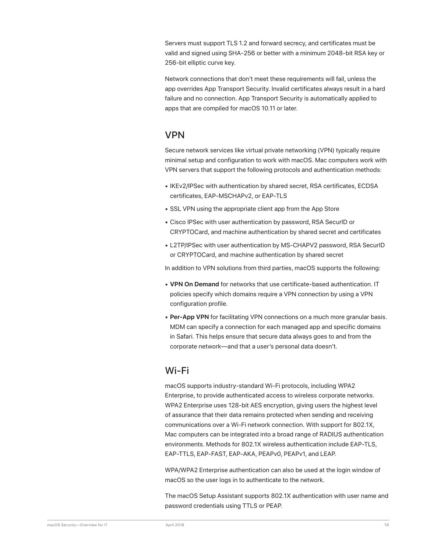Servers must support TLS 1.2 and forward secrecy, and certificates must be valid and signed using SHA-256 or better with a minimum 2048-bit RSA key or 256-bit elliptic curve key.

Network connections that don't meet these requirements will fail, unless the app overrides App Transport Security. Invalid certificates always result in a hard failure and no connection. App Transport Security is automatically applied to apps that are compiled for macOS 10.11 or later.

#### VPN

Secure network services like virtual private networking (VPN) typically require minimal setup and configuration to work with macOS. Mac computers work with VPN servers that support the following protocols and authentication methods:

- IKEv2/IPSec with authentication by shared secret, RSA certificates, ECDSA certificates, EAP-MSCHAPv2, or EAP-TLS
- SSL VPN using the appropriate client app from the App Store
- Cisco IPSec with user authentication by password, RSA SecurID or CRYPTOCard, and machine authentication by shared secret and certificates
- L2TP/IPSec with user authentication by MS-CHAPV2 password, RSA SecurID or CRYPTOCard, and machine authentication by shared secret

In addition to VPN solutions from third parties, macOS supports the following:

- **VPN On Demand** for networks that use certificate-based authentication. IT policies specify which domains require a VPN connection by using a VPN configuration profile.
- **Per-App VPN** for facilitating VPN connections on a much more granular basis. MDM can specify a connection for each managed app and specific domains in Safari. This helps ensure that secure data always goes to and from the corporate network—and that a user's personal data doesn't.

#### Wi-Fi

macOS supports industry-standard Wi-Fi protocols, including WPA2 Enterprise, to provide authenticated access to wireless corporate networks. WPA2 Enterprise uses 128-bit AES encryption, giving users the highest level of assurance that their data remains protected when sending and receiving communications over a Wi-Fi network connection. With support for 802.1X, Mac computers can be integrated into a broad range of RADIUS authentication environments. Methods for 802.1X wireless authentication include EAP-TLS, EAP-TTLS, EAP-FAST, EAP-AKA, PEAPv0, PEAPv1, and LEAP.

WPA/WPA2 Enterprise authentication can also be used at the login window of macOS so the user logs in to authenticate to the network.

The macOS Setup Assistant supports 802.1X authentication with user name and password credentials using TTLS or PEAP.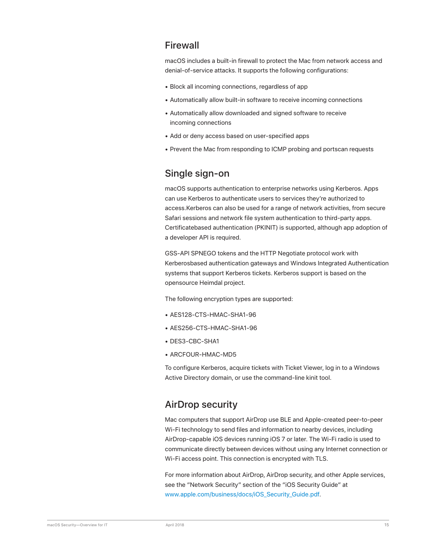### Firewall

macOS includes a built-in firewall to protect the Mac from network access and denial-of-service attacks. It supports the following configurations:

- Block all incoming connections, regardless of app
- Automatically allow built-in software to receive incoming connections
- Automatically allow downloaded and signed software to receive incoming connections
- Add or deny access based on user-specified apps
- Prevent the Mac from responding to ICMP probing and portscan requests

# Single sign-on

macOS supports authentication to enterprise networks using Kerberos. Apps can use Kerberos to authenticate users to services they're authorized to access.Kerberos can also be used for a range of network activities, from secure Safari sessions and network file system authentication to third-party apps. Certificatebased authentication (PKINIT) is supported, although app adoption of a developer API is required.

GSS-API SPNEGO tokens and the HTTP Negotiate protocol work with Kerberosbased authentication gateways and Windows Integrated Authentication systems that support Kerberos tickets. Kerberos support is based on the opensource Heimdal project.

The following encryption types are supported:

- AES128-CTS-HMAC-SHA1-96
- AES256-CTS-HMAC-SHA1-96
- DES3-CBC-SHA1
- ARCFOUR-HMAC-MD5

To configure Kerberos, acquire tickets with Ticket Viewer, log in to a Windows Active Directory domain, or use the command-line kinit tool.

#### AirDrop security

Mac computers that support AirDrop use BLE and Apple-created peer-to-peer Wi-Fi technology to send files and information to nearby devices, including AirDrop-capable iOS devices running iOS 7 or later. The Wi-Fi radio is used to communicate directly between devices without using any Internet connection or Wi-Fi access point. This connection is encrypted with TLS.

For more information about AirDrop, AirDrop security, and other Apple services, see the "Network Security" section of the "iOS Security Guide" at www.apple.com/business/docs/iOS\_Security\_Guide.pdf.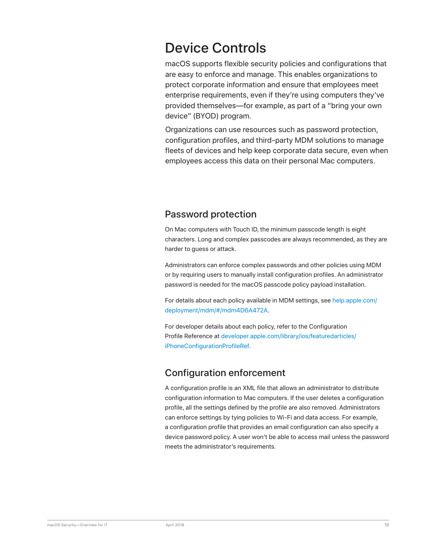# Device Controls

macOS supports flexible security policies and configurations that are easy to enforce and manage. This enables organizations to protect corporate information and ensure that employees meet enterprise requirements, even if they're using computers they've provided themselves—for example, as part of a "bring your own device" (BYOD) program.

Organizations can use resources such as password protection, configuration profiles, and third-party MDM solutions to manage fleets of devices and help keep corporate data secure, even when employees access this data on their personal Mac computers.

### Password protection

On Mac computers with Touch ID, the minimum passcode length is eight characters. Long and complex passcodes are always recommended, as they are harder to guess or attack.

Administrators can enforce complex passwords and other policies using MDM or by requiring users to manually install configuration profiles. An administrator password is needed for the macOS passcode policy payload installation.

For details about each policy available in MDM settings, see help.apple.com/ deployment/mdm/#/mdm4D6A472A.

For developer details about each policy, refer to the Configuration Profile Reference at developer.apple.com/library/ios/featuredarticles/ iPhoneConfigurationProfileRef.

# Configuration enforcement

A configuration profile is an XML file that allows an administrator to distribute configuration information to Mac computers. If the user deletes a configuration profile, all the settings defined by the profile are also removed. Administrators can enforce settings by tying policies to Wi-Fi and data access. For example, a configuration profile that provides an email configuration can also specify a device password policy. A user won't be able to access mail unless the password meets the administrator's requirements.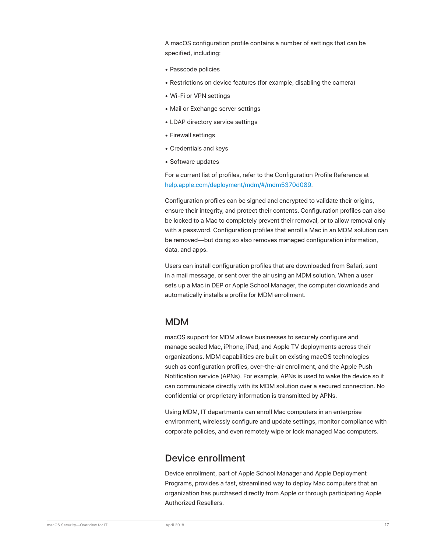A macOS configuration profile contains a number of settings that can be specified, including:

- Passcode policies
- Restrictions on device features (for example, disabling the camera)
- Wi-Fi or VPN settings
- Mail or Exchange server settings
- LDAP directory service settings
- Firewall settings
- Credentials and keys
- Software updates

For a current list of profiles, refer to the Configuration Profile Reference at help.apple.com/deployment/mdm/#/mdm5370d089.

Configuration profiles can be signed and encrypted to validate their origins, ensure their integrity, and protect their contents. Configuration profiles can also be locked to a Mac to completely prevent their removal, or to allow removal only with a password. Configuration profiles that enroll a Mac in an MDM solution can be removed—but doing so also removes managed configuration information, data, and apps.

Users can install configuration profiles that are downloaded from Safari, sent in a mail message, or sent over the air using an MDM solution. When a user sets up a Mac in DEP or Apple School Manager, the computer downloads and automatically installs a profile for MDM enrollment.

#### MDM

macOS support for MDM allows businesses to securely configure and manage scaled Mac, iPhone, iPad, and Apple TV deployments across their organizations. MDM capabilities are built on existing macOS technologies such as configuration profiles, over-the-air enrollment, and the Apple Push Notification service (APNs). For example, APNs is used to wake the device so it can communicate directly with its MDM solution over a secured connection. No confidential or proprietary information is transmitted by APNs.

Using MDM, IT departments can enroll Mac computers in an enterprise environment, wirelessly configure and update settings, monitor compliance with corporate policies, and even remotely wipe or lock managed Mac computers.

#### Device enrollment

Device enrollment, part of Apple School Manager and Apple Deployment Programs, provides a fast, streamlined way to deploy Mac computers that an organization has purchased directly from Apple or through participating Apple Authorized Resellers.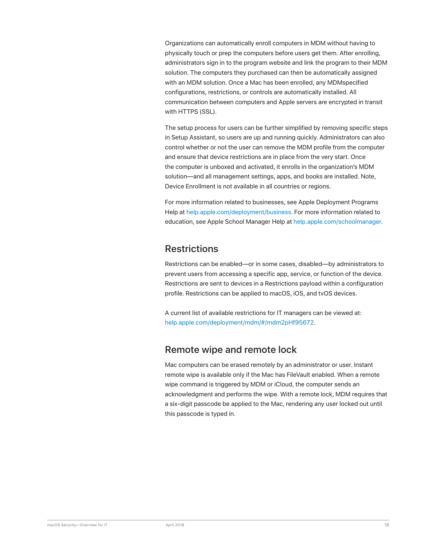Organizations can automatically enroll computers in MDM without having to physically touch or prep the computers before users get them. After enrolling, administrators sign in to the program website and link the program to their MDM solution. The computers they purchased can then be automatically assigned with an MDM solution. Once a Mac has been enrolled, any MDMspecified configurations, restrictions, or controls are automatically installed. All communication between computers and Apple servers are encrypted in transit with HTTPS (SSL).

The setup process for users can be further simplified by removing specific steps in Setup Assistant, so users are up and running quickly. Administrators can also control whether or not the user can remove the MDM profile from the computer and ensure that device restrictions are in place from the very start. Once the computer is unboxed and activated, it enrolls in the organization's MDM solution—and all management settings, apps, and books are installed. Note, Device Enrollment is not available in all countries or regions.

For more information related to businesses, see Apple Deployment Programs Help at help.apple.com/deployment/business. For more information related to education, see Apple School Manager Help at help.apple.com/schoolmanager.

#### **Restrictions**

Restrictions can be enabled—or in some cases, disabled—by administrators to prevent users from accessing a specific app, service, or function of the device. Restrictions are sent to devices in a Restrictions payload within a configuration profile. Restrictions can be applied to macOS, iOS, and tvOS devices.

A current list of available restrictions for IT managers can be viewed at: help.apple.com/deployment/mdm/#/mdm2pHf95672.

# Remote wipe and remote lock

Mac computers can be erased remotely by an administrator or user. Instant remote wipe is available only if the Mac has FileVault enabled. When a remote wipe command is triggered by MDM or iCloud, the computer sends an acknowledgment and performs the wipe. With a remote lock, MDM requires that a six-digit passcode be applied to the Mac, rendering any user locked out until this passcode is typed in.